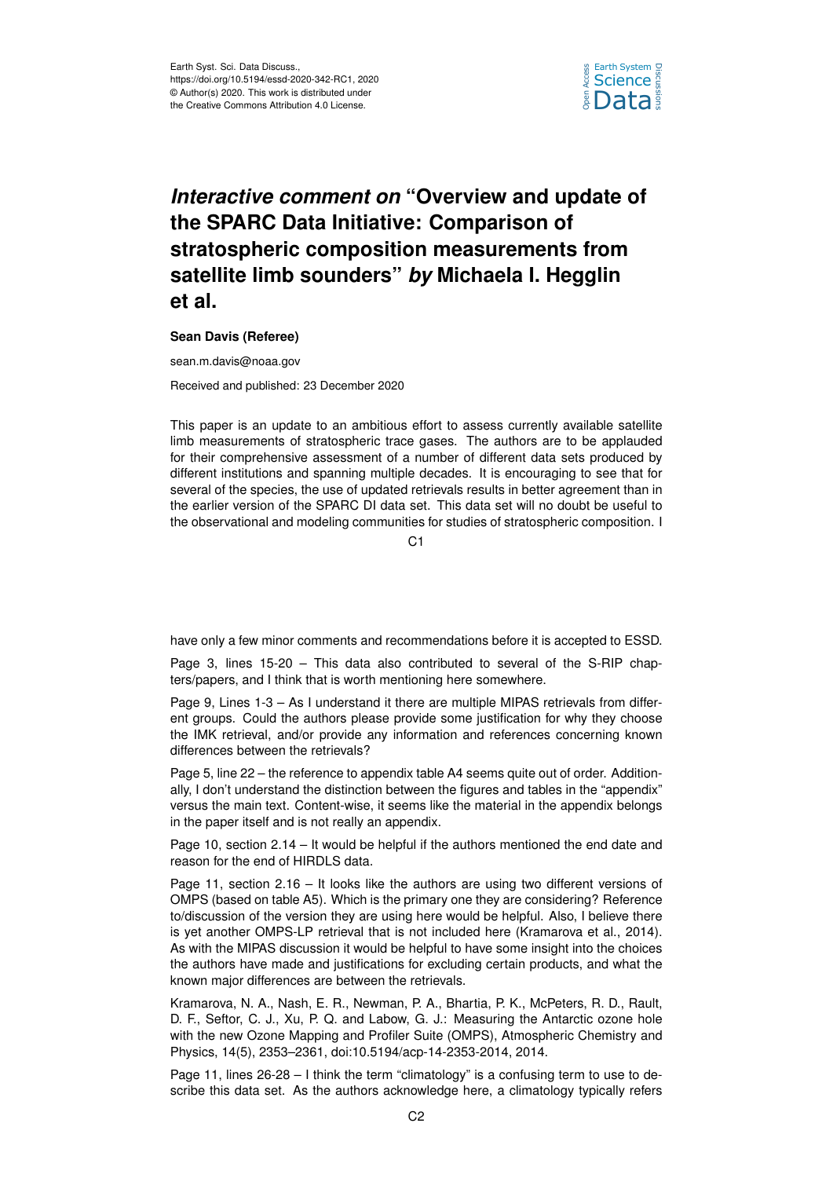

## *Interactive comment on* **"Overview and update of the SPARC Data Initiative: Comparison of stratospheric composition measurements from satellite limb sounders"** *by* **Michaela I. Hegglin et al.**

## **Sean Davis (Referee)**

sean.m.davis@noaa.gov Received and published: 23 December 2020

This paper is an update to an ambitious effort to assess currently available satellite limb measurements of stratospheric trace gases. The authors are to be applauded for their comprehensive assessment of a number of different data sets produced by different institutions and spanning multiple decades. It is encouraging to see that for several of the species, the use of updated retrievals results in better agreement than in the earlier version of the SPARC DI data set. This data set will no doubt be useful to the observational and modeling communities for studies of stratospheric composition. I

C1

have only a few minor comments and recommendations before it is accepted to ESSD.

Page 3, lines 15-20 – This data also contributed to several of the S-RIP chapters/papers, and I think that is worth mentioning here somewhere.

Page 9, Lines 1-3 – As I understand it there are multiple MIPAS retrievals from different groups. Could the authors please provide some justification for why they choose the IMK retrieval, and/or provide any information and references concerning known differences between the retrievals?

Page 5, line 22 – the reference to appendix table A4 seems quite out of order. Additionally, I don't understand the distinction between the figures and tables in the "appendix" versus the main text. Content-wise, it seems like the material in the appendix belongs in the paper itself and is not really an appendix.

Page 10, section 2.14 – It would be helpful if the authors mentioned the end date and reason for the end of HIRDLS data.

Page 11, section 2.16 – It looks like the authors are using two different versions of OMPS (based on table A5). Which is the primary one they are considering? Reference to/discussion of the version they are using here would be helpful. Also, I believe there is yet another OMPS-LP retrieval that is not included here (Kramarova et al., 2014). As with the MIPAS discussion it would be helpful to have some insight into the choices the authors have made and justifications for excluding certain products, and what the known major differences are between the retrievals.

Kramarova, N. A., Nash, E. R., Newman, P. A., Bhartia, P. K., McPeters, R. D., Rault, D. F., Seftor, C. J., Xu, P. Q. and Labow, G. J.: Measuring the Antarctic ozone hole with the new Ozone Mapping and Profiler Suite (OMPS), Atmospheric Chemistry and Physics, 14(5), 2353–2361, doi:10.5194/acp-14-2353-2014, 2014.

Page 11, lines 26-28 – I think the term "climatology" is a confusing term to use to describe this data set. As the authors acknowledge here, a climatology typically refers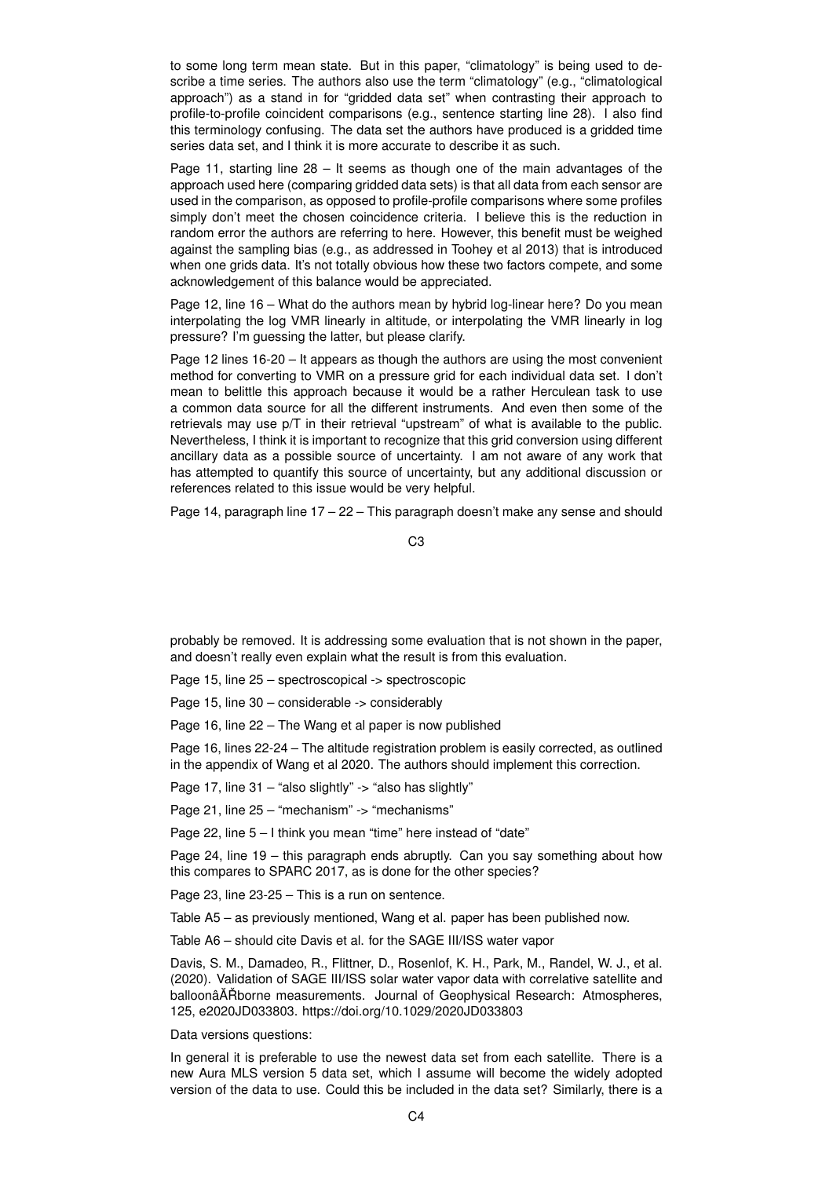to some long term mean state. But in this paper, "climatology" is being used to describe a time series. The authors also use the term "climatology" (e.g., "climatological approach") as a stand in for "gridded data set" when contrasting their approach to profile-to-profile coincident comparisons (e.g., sentence starting line 28). I also find this terminology confusing. The data set the authors have produced is a gridded time series data set, and I think it is more accurate to describe it as such.

Page 11, starting line  $28 -$  It seems as though one of the main advantages of the approach used here (comparing gridded data sets) is that all data from each sensor are used in the comparison, as opposed to profile-profile comparisons where some profiles simply don't meet the chosen coincidence criteria. I believe this is the reduction in random error the authors are referring to here. However, this benefit must be weighed against the sampling bias (e.g., as addressed in Toohey et al 2013) that is introduced when one grids data. It's not totally obvious how these two factors compete, and some acknowledgement of this balance would be appreciated.

Page 12, line 16 – What do the authors mean by hybrid log-linear here? Do you mean interpolating the log VMR linearly in altitude, or interpolating the VMR linearly in log pressure? I'm guessing the latter, but please clarify.

Page 12 lines 16-20 – It appears as though the authors are using the most convenient method for converting to VMR on a pressure grid for each individual data set. I don't mean to belittle this approach because it would be a rather Herculean task to use a common data source for all the different instruments. And even then some of the retrievals may use p/T in their retrieval "upstream" of what is available to the public. Nevertheless, I think it is important to recognize that this grid conversion using different ancillary data as a possible source of uncertainty. I am not aware of any work that has attempted to quantify this source of uncertainty, but any additional discussion or references related to this issue would be very helpful.

Page 14, paragraph line 17 – 22 – This paragraph doesn't make any sense and should

C3

probably be removed. It is addressing some evaluation that is not shown in the paper, and doesn't really even explain what the result is from this evaluation.

Page 15, line 25 – spectroscopical -> spectroscopic

Page 15, line 30 – considerable -> considerably

Page 16, line 22 – The Wang et al paper is now published

Page 16, lines 22-24 – The altitude registration problem is easily corrected, as outlined in the appendix of Wang et al 2020. The authors should implement this correction.

Page 17, line 31 – "also slightly" -> "also has slightly"

Page 21, line 25 – "mechanism" -> "mechanisms"

Page 22, line 5 – I think you mean "time" here instead of "date"

Page 24, line 19 – this paragraph ends abruptly. Can you say something about how this compares to SPARC 2017, as is done for the other species?

Page 23, line 23-25 – This is a run on sentence.

Table A5 – as previously mentioned, Wang et al. paper has been published now.

Table A6 – should cite Davis et al. for the SAGE III/ISS water vapor

Davis, S. M., Damadeo, R., Flittner, D., Rosenlof, K. H., Park, M., Randel, W. J., et al. (2020). Validation of SAGE III/ISS solar water vapor data with correlative satellite and balloonâAT Roorne measurements. Journal of Geophysical Research: Atmospheres, 125, e2020JD033803. https://doi.org/10.1029/2020JD033803

Data versions questions:

In general it is preferable to use the newest data set from each satellite. There is a new Aura MLS version 5 data set, which I assume will become the widely adopted version of the data to use. Could this be included in the data set? Similarly, there is a